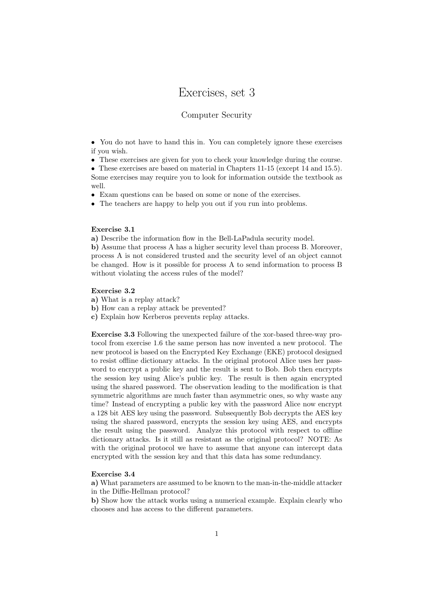# Exercises, set 3

## Computer Security

• You do not have to hand this in. You can completely ignore these exercises if you wish.

• These exercises are given for you to check your knowledge during the course.

• These exercises are based on material in Chapters 11-15 (except 14 and 15.5). Some exercises may require you to look for information outside the textbook as well.

• Exam questions can be based on some or none of the exercises.

• The teachers are happy to help you out if you run into problems.

#### Exercise 3.1

a) Describe the information flow in the Bell-LaPadula security model.

b) Assume that process A has a higher security level than process B. Moreover, process A is not considered trusted and the security level of an object cannot be changed. How is it possible for process A to send information to process B without violating the access rules of the model?

### Exercise 3.2

a) What is a replay attack?

b) How can a replay attack be prevented?

c) Explain how Kerberos prevents replay attacks.

Exercise 3.3 Following the unexpected failure of the xor-based three-way protocol from exercise 1.6 the same person has now invented a new protocol. The new protocol is based on the Encrypted Key Exchange (EKE) protocol designed to resist offline dictionary attacks. In the original protocol Alice uses her password to encrypt a public key and the result is sent to Bob. Bob then encrypts the session key using Alice's public key. The result is then again encrypted using the shared password. The observation leading to the modification is that symmetric algorithms are much faster than asymmetric ones, so why waste any time? Instead of encrypting a public key with the password Alice now encrypt a 128 bit AES key using the password. Subsequently Bob decrypts the AES key using the shared password, encrypts the session key using AES, and encrypts the result using the password. Analyze this protocol with respect to offline dictionary attacks. Is it still as resistant as the original protocol? NOTE: As with the original protocol we have to assume that anyone can intercept data encrypted with the session key and that this data has some redundancy.

#### Exercise 3.4

a) What parameters are assumed to be known to the man-in-the-middle attacker in the Diffie-Hellman protocol?

b) Show how the attack works using a numerical example. Explain clearly who chooses and has access to the different parameters.